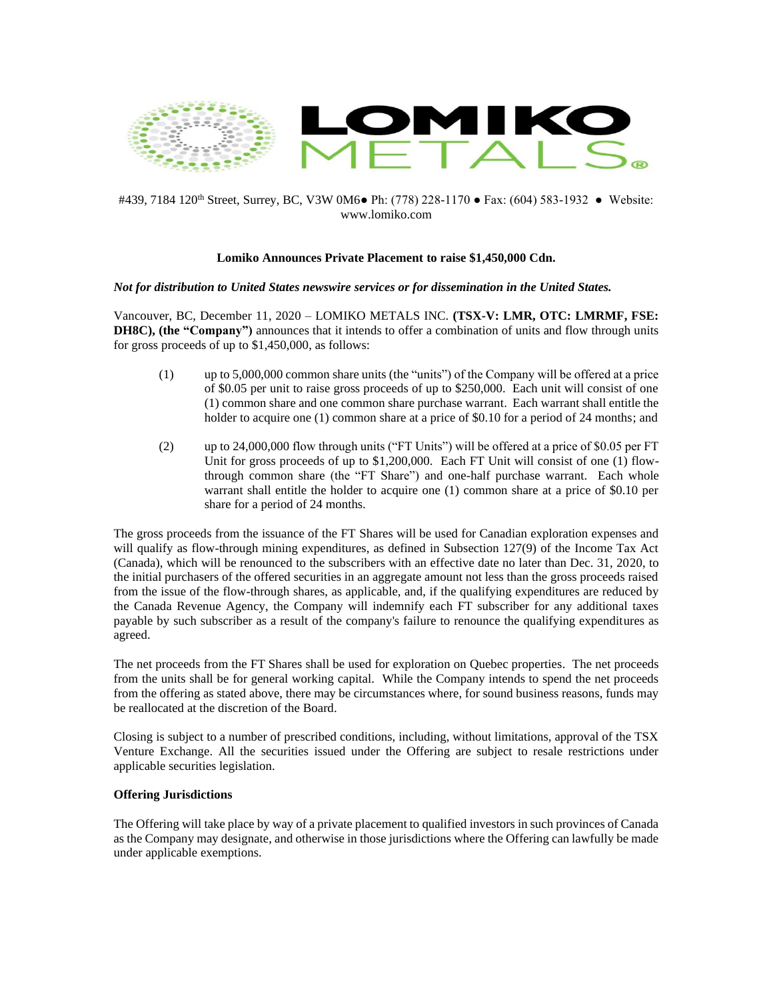

# #439, 7184 120<sup>th</sup> Street, Surrey, BC, V3W 0M6• Ph: (778) 228-1170 • Fax: (604) 583-1932 • Website: www.lomiko.com

# **Lomiko Announces Private Placement to raise \$1,450,000 Cdn.**

### *Not for distribution to United States newswire services or for dissemination in the United States.*

Vancouver, BC, December 11, 2020 – LOMIKO METALS INC. **(TSX-V: LMR, OTC: LMRMF, FSE: DH8C), (the "Company")** announces that it intends to offer a combination of units and flow through units for gross proceeds of up to \$1,450,000, as follows:

- (1) up to 5,000,000 common share units (the "units") of the Company will be offered at a price of \$0.05 per unit to raise gross proceeds of up to \$250,000. Each unit will consist of one (1) common share and one common share purchase warrant. Each warrant shall entitle the holder to acquire one (1) common share at a price of \$0.10 for a period of 24 months; and
- (2) up to 24,000,000 flow through units ("FT Units") will be offered at a price of \$0.05 per FT Unit for gross proceeds of up to  $$1,200,000$ . Each FT Unit will consist of one (1) flowthrough common share (the "FT Share") and one-half purchase warrant. Each whole warrant shall entitle the holder to acquire one (1) common share at a price of \$0.10 per share for a period of 24 months.

The gross proceeds from the issuance of the FT Shares will be used for Canadian exploration expenses and will qualify as flow-through mining expenditures, as defined in Subsection 127(9) of the Income Tax Act (Canada), which will be renounced to the subscribers with an effective date no later than Dec. 31, 2020, to the initial purchasers of the offered securities in an aggregate amount not less than the gross proceeds raised from the issue of the flow-through shares, as applicable, and, if the qualifying expenditures are reduced by the Canada Revenue Agency, the Company will indemnify each FT subscriber for any additional taxes payable by such subscriber as a result of the company's failure to renounce the qualifying expenditures as agreed.

The net proceeds from the FT Shares shall be used for exploration on Quebec properties. The net proceeds from the units shall be for general working capital. While the Company intends to spend the net proceeds from the offering as stated above, there may be circumstances where, for sound business reasons, funds may be reallocated at the discretion of the Board.

Closing is subject to a number of prescribed conditions, including, without limitations, approval of the TSX Venture Exchange. All the securities issued under the Offering are subject to resale restrictions under applicable securities legislation.

## **Offering Jurisdictions**

The Offering will take place by way of a private placement to qualified investors in such provinces of Canada as the Company may designate, and otherwise in those jurisdictions where the Offering can lawfully be made under applicable exemptions.